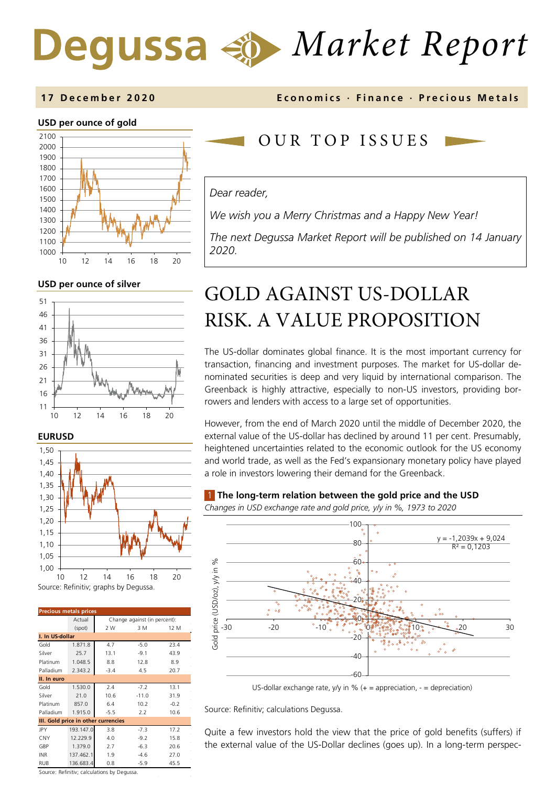# *Market Report*

### **17 December 2020 Economics · Finance · Precious M etals**

### **USD per ounce of gold**



**USD per ounce of silver** 







| <b>Precious metals prices</b>               |           |                              |         |        |  |  |
|---------------------------------------------|-----------|------------------------------|---------|--------|--|--|
|                                             | Actual    | Change against (in percent): |         |        |  |  |
|                                             | (spot)    | 2 W                          | 3 M     | 12 M   |  |  |
| I. In US-dollar                             |           |                              |         |        |  |  |
| Gold                                        | 1.871.8   | 4.7                          | $-5.0$  | 23.4   |  |  |
| Silver                                      | 25.7      | 13.1                         | $-9.1$  | 43.9   |  |  |
| Platinum                                    | 1.048.5   | 8.8                          | 12.8    | 8.9    |  |  |
| Palladium                                   | 2.343.2   | $-3.4$                       | 4.5     | 20.7   |  |  |
| II. In euro                                 |           |                              |         |        |  |  |
| Gold                                        | 1.530.0   | 2.4                          | $-7.2$  | 13.1   |  |  |
| Silver                                      | 21.0      | 10.6                         | $-11.0$ | 31.9   |  |  |
| Platinum                                    | 857.0     | 6.4                          | 10.2    | $-0.2$ |  |  |
| Palladium                                   | 1.915.0   | $-5.5$                       | 2.2     | 10.6   |  |  |
| III. Gold price in other currencies         |           |                              |         |        |  |  |
| JPY                                         | 193.147.0 | 3.8                          | $-7.3$  | 17.2   |  |  |
| CNY                                         | 12.229.9  | 4.0                          | $-9.2$  | 15.8   |  |  |
| GBP                                         | 1.379.0   | 2.7                          | $-6.3$  | 20.6   |  |  |
| <b>INR</b>                                  | 137.462.1 | 1.9                          | $-4.6$  | 27.0   |  |  |
| <b>RUB</b>                                  | 136.683.4 | 0.8                          | $-5.9$  | 45.5   |  |  |
| Source: Refinitiv; calculations by Degussa. |           |                              |         |        |  |  |

OUR TOP ISSUE S

### *Dear reader,*

*We wish you a Merry Christmas and a Happy New Year!* 

*The next Degussa Market Report will be published on 14 January 2020.*

## GOLD AGAINST US-DOLLAR RISK. A VALUE PROPOSITION

The US-dollar dominates global finance. It is the most important currency for transaction, financing and investment purposes. The market for US-dollar denominated securities is deep and very liquid by international comparison. The Greenback is highly attractive, especially to non-US investors, providing borrowers and lenders with access to a large set of opportunities.

However, from the end of March 2020 until the middle of December 2020, the external value of the US-dollar has declined by around 11 per cent. Presumably, heightened uncertainties related to the economic outlook for the US economy and world trade, as well as the Fed's expansionary monetary policy have played a role in investors lowering their demand for the Greenback.

### 1 **The long-term relation between the gold price and the USD**

*Changes in USD exchange rate and gold price, y/y in %, 1973 to 2020* 



US-dollar exchange rate, y/y in %  $(+)$  appreciation,  $-$  = depreciation)

Source: Refinitiv; calculations Degussa.

Quite a few investors hold the view that the price of gold benefits (suffers) if the external value of the US-Dollar declines (goes up). In a long-term perspec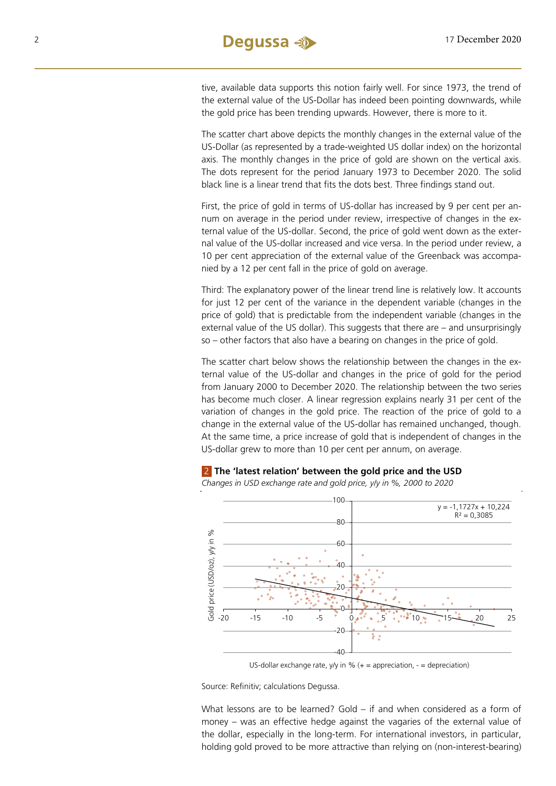tive, available data supports this notion fairly well. For since 1973, the trend of the external value of the US-Dollar has indeed been pointing downwards, while the gold price has been trending upwards. However, there is more to it.

The scatter chart above depicts the monthly changes in the external value of the US-Dollar (as represented by a trade-weighted US dollar index) on the horizontal axis. The monthly changes in the price of gold are shown on the vertical axis. The dots represent for the period January 1973 to December 2020. The solid black line is a linear trend that fits the dots best. Three findings stand out.

First, the price of gold in terms of US-dollar has increased by 9 per cent per annum on average in the period under review, irrespective of changes in the external value of the US-dollar. Second, the price of gold went down as the external value of the US-dollar increased and vice versa. In the period under review, a 10 per cent appreciation of the external value of the Greenback was accompanied by a 12 per cent fall in the price of gold on average.

Third: The explanatory power of the linear trend line is relatively low. It accounts for just 12 per cent of the variance in the dependent variable (changes in the price of gold) that is predictable from the independent variable (changes in the external value of the US dollar). This suggests that there are – and unsurprisingly so – other factors that also have a bearing on changes in the price of gold.

The scatter chart below shows the relationship between the changes in the external value of the US-dollar and changes in the price of gold for the period from January 2000 to December 2020. The relationship between the two series has become much closer. A linear regression explains nearly 31 per cent of the variation of changes in the gold price. The reaction of the price of gold to a change in the external value of the US-dollar has remained unchanged, though. At the same time, a price increase of gold that is independent of changes in the US-dollar grew to more than 10 per cent per annum, on average.



2 **The 'latest relation' between the gold price and the USD** 

US-dollar exchange rate, y/y in %  $(+)$  appreciation,  $-$  = depreciation)

Source: Refinitiv; calculations Degussa.

What lessons are to be learned? Gold – if and when considered as a form of money – was an effective hedge against the vagaries of the external value of the dollar, especially in the long-term. For international investors, in particular, holding gold proved to be more attractive than relying on (non-interest-bearing)

*Changes in USD exchange rate and gold price, y/y in %, 2000 to 2020*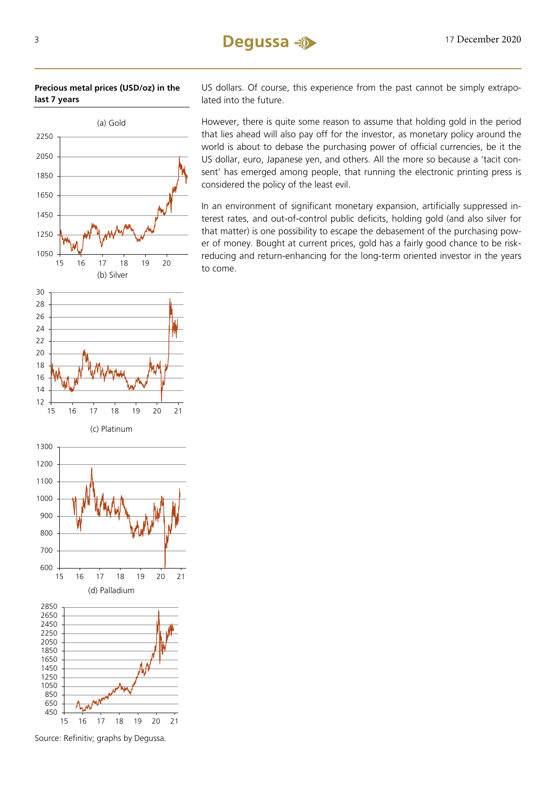

**Precious metal prices (USD/oz) in the last 7 years**

US dollars. Of course, this experience from the past cannot be simply extrapolated into the future.

However, there is quite some reason to assume that holding gold in the period that lies ahead will also pay off for the investor, as monetary policy around the world is about to debase the purchasing power of official currencies, be it the US dollar, euro, Japanese yen, and others. All the more so because a 'tacit consent' has emerged among people, that running the electronic printing press is considered the policy of the least evil.

In an environment of significant monetary expansion, artificially suppressed interest rates, and out-of-control public deficits, holding gold (and also silver for that matter) is one possibility to escape the debasement of the purchasing power of money. Bought at current prices, gold has a fairly good chance to be riskreducing and return-enhancing for the long-term oriented investor in the years to come.



16 17 18 19 20 21

(d) Palladium

16 17 18 19 20 21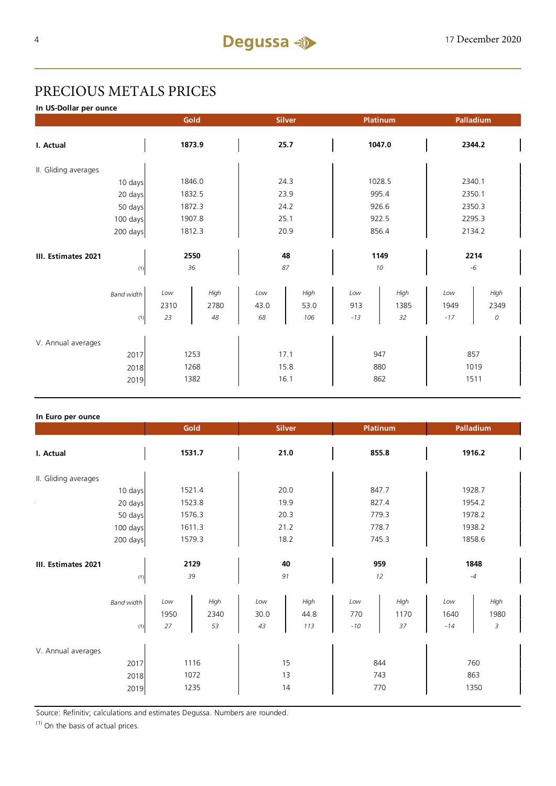### PRECIOUS METALS PRICES

**In US-Dollar per ounce**

|        |      | <b>Silver</b>                        |      | Platinum         |      | Palladium             |      |
|--------|------|--------------------------------------|------|------------------|------|-----------------------|------|
| 1873.9 |      | 25.7                                 |      | 1047.0           |      | 2344.2                |      |
|        |      |                                      |      |                  |      |                       |      |
| 1846.0 |      | 24.3                                 |      | 1028.5           |      | 2340.1                |      |
|        |      | 23.9                                 |      | 995.4            |      | 2350.1                |      |
| 1872.3 |      | 24.2                                 |      | 926.6            |      | 2350.3                |      |
| 1907.8 |      | 25.1                                 |      | 922.5            |      | 2295.3                |      |
| 1812.3 |      | 20.9                                 |      | 856.4            |      | 2134.2                |      |
|        |      |                                      |      |                  |      |                       |      |
|        |      |                                      |      |                  |      |                       | 2214 |
|        |      |                                      |      |                  |      |                       | $-6$ |
| Low    | High | Low                                  | High | Low              | High | Low                   | High |
| 2310   | 2780 | 43.0                                 | 53.0 | 913              | 1385 | 1949                  | 2349 |
| 23     | 48   | 68                                   | 106  | $-13$            | 32   | $-17$                 | 0    |
|        |      |                                      |      |                  |      |                       |      |
|        |      |                                      |      |                  |      |                       |      |
|        |      |                                      |      |                  |      |                       | 857  |
| 1268   |      | 15.8                                 |      | 880              |      | 1019                  |      |
| 1382   |      | 16.1                                 |      | 862              |      | 1511                  |      |
|        |      | Gold<br>1832.5<br>2550<br>36<br>1253 |      | 48<br>87<br>17.1 |      | 1149<br>$10\,$<br>947 |      |

### **In Euro per ounce**

|                                            | Gold              |                      | <b>Silver</b>     |                     | Platinum            |                    | Palladium            |                    |
|--------------------------------------------|-------------------|----------------------|-------------------|---------------------|---------------------|--------------------|----------------------|--------------------|
| I. Actual                                  | 1531.7            |                      | 21.0              |                     | 855.8               |                    | 1916.2               |                    |
| II. Gliding averages                       |                   |                      |                   |                     |                     |                    |                      |                    |
| 10 days                                    |                   | 1521.4               |                   | 20.0                |                     | 847.7              |                      | 1928.7             |
| 20 days                                    | 1523.8            |                      | 19.9              |                     | 827.4               |                    | 1954.2               |                    |
| 50 days                                    | 1576.3            |                      | 20.3              |                     | 779.3               |                    | 1978.2               |                    |
| 100 days                                   | 1611.3            |                      | 21.2              |                     | 778.7               |                    | 1938.2               |                    |
| 200 days                                   | 1579.3            |                      | 18.2              |                     | 745.3               |                    | 1858.6               |                    |
| III. Estimates 2021<br>(1)                 | 2129<br>39        |                      | 40<br>91          |                     | 959<br>12           |                    | 1848<br>$-4$         |                    |
| <b>Band width</b><br>(1)                   | Low<br>1950<br>27 | High<br>2340<br>53   | Low<br>30.0<br>43 | High<br>44.8<br>113 | Low<br>770<br>$-10$ | High<br>1170<br>37 | Low<br>1640<br>$-14$ | High<br>1980<br>3  |
| V. Annual averages<br>2017<br>2018<br>2019 |                   | 1116<br>1072<br>1235 |                   | 15<br>13<br>14      |                     | 844<br>743<br>770  |                      | 760<br>863<br>1350 |

Source: Refinitiv; calculations and estimates Degussa. Numbers are rounded.

 $(1)$  On the basis of actual prices.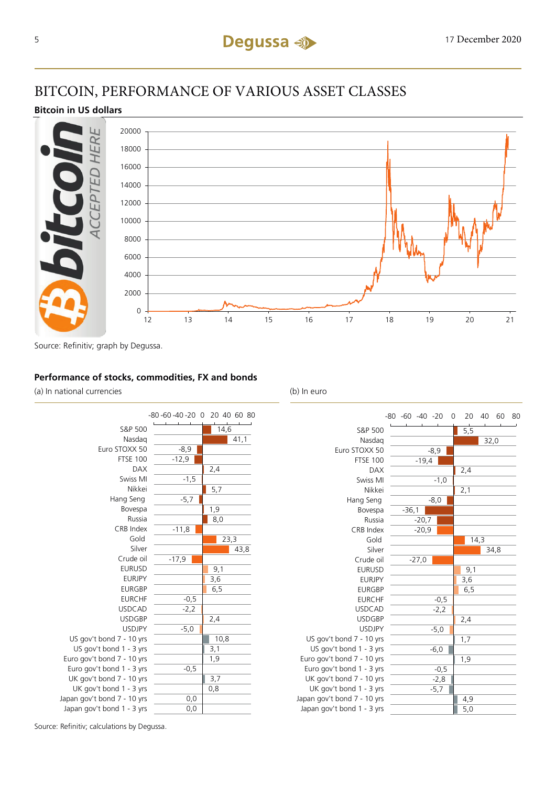### BITCOIN, PERFORMANCE OF VARIOUS ASSET CLASSES

### **Bitcoin in US dollars**



Source: Refinitiv; graph by Degussa.

### **Performance of stocks, commodities, FX and bonds**

(a) In national currencies (b) In euro



|                             | $-80 -60 -40 -20$ | 20<br>0          | 40<br>60 | 80 |
|-----------------------------|-------------------|------------------|----------|----|
| S&P 500                     |                   | $\overline{5,5}$ |          |    |
| Nasdag                      |                   |                  | 32,0     |    |
| Euro STOXX 50               | $-8,9$            |                  |          |    |
| <b>FTSE 100</b>             | $-19,4$           |                  |          |    |
| <b>DAX</b>                  |                   | 2,4              |          |    |
| Swiss MI                    | $-1,0$            |                  |          |    |
| Nikkei                      |                   | 2,1              |          |    |
| Hang Seng                   | $-8,0$            |                  |          |    |
| Bovespa                     | $-36,1$           |                  |          |    |
| Russia                      | $-20,7$           |                  |          |    |
| CRB Index                   | $-20,9$           |                  |          |    |
| Gold                        |                   |                  | 14,3     |    |
| Silver                      |                   |                  | 34,8     |    |
| Crude oil                   | $-27,0$           |                  |          |    |
| <b>EURUSD</b>               |                   | 9,1              |          |    |
| <b>EURJPY</b>               |                   | 3,6              |          |    |
| <b>EURGBP</b>               |                   | 6, 5             |          |    |
| <b>EURCHF</b>               | $-0,5$            |                  |          |    |
| <b>USDCAD</b>               | $-2,2$            |                  |          |    |
| <b>USDGBP</b>               |                   | 2,4              |          |    |
| <b>USDJPY</b>               | $-5,0$            |                  |          |    |
| US gov't bond 7 - 10 yrs    |                   | 1,7              |          |    |
| US gov't bond 1 - 3 yrs     | $-6,0$            |                  |          |    |
| Euro gov't bond 7 - 10 yrs  |                   | 1,9              |          |    |
| Euro gov't bond 1 - 3 yrs   | $-0,5$            |                  |          |    |
| UK gov't bond 7 - 10 yrs    | $-2,8$            |                  |          |    |
| UK gov't bond 1 - 3 yrs     | $-5,7$            |                  |          |    |
| Japan gov't bond 7 - 10 yrs |                   | 4,9              |          |    |
| Japan gov't bond 1 - 3 yrs  |                   | 5,0              |          |    |

Source: Refinitiv; calculations by Degussa.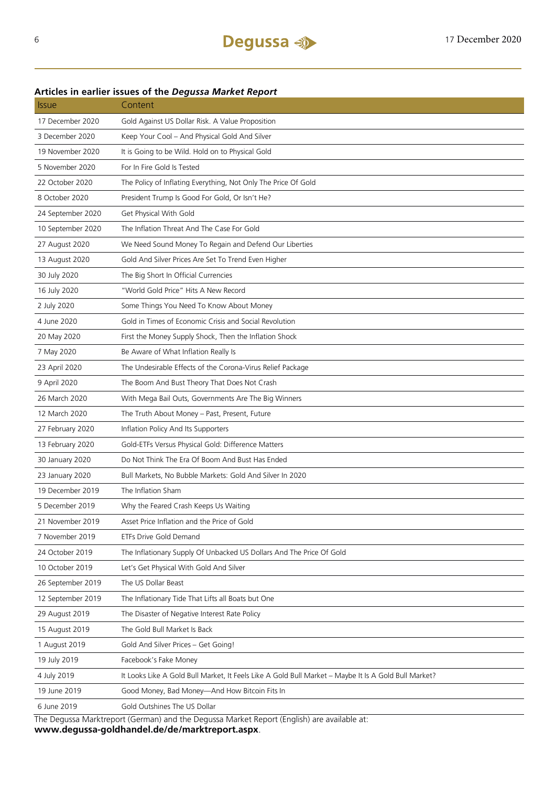### **Articles in earlier issues of the** *Degussa Market Report*

| <b>Issue</b>      | Content                                                                                              |
|-------------------|------------------------------------------------------------------------------------------------------|
| 17 December 2020  | Gold Against US Dollar Risk. A Value Proposition                                                     |
| 3 December 2020   | Keep Your Cool - And Physical Gold And Silver                                                        |
| 19 November 2020  | It is Going to be Wild. Hold on to Physical Gold                                                     |
| 5 November 2020   | For In Fire Gold Is Tested                                                                           |
| 22 October 2020   | The Policy of Inflating Everything, Not Only The Price Of Gold                                       |
| 8 October 2020    | President Trump Is Good For Gold, Or Isn't He?                                                       |
| 24 September 2020 | Get Physical With Gold                                                                               |
| 10 September 2020 | The Inflation Threat And The Case For Gold                                                           |
| 27 August 2020    | We Need Sound Money To Regain and Defend Our Liberties                                               |
| 13 August 2020    | Gold And Silver Prices Are Set To Trend Even Higher                                                  |
| 30 July 2020      | The Big Short In Official Currencies                                                                 |
| 16 July 2020      | "World Gold Price" Hits A New Record                                                                 |
| 2 July 2020       | Some Things You Need To Know About Money                                                             |
| 4 June 2020       | Gold in Times of Economic Crisis and Social Revolution                                               |
| 20 May 2020       | First the Money Supply Shock, Then the Inflation Shock                                               |
| 7 May 2020        | Be Aware of What Inflation Really Is                                                                 |
| 23 April 2020     | The Undesirable Effects of the Corona-Virus Relief Package                                           |
| 9 April 2020      | The Boom And Bust Theory That Does Not Crash                                                         |
| 26 March 2020     | With Mega Bail Outs, Governments Are The Big Winners                                                 |
| 12 March 2020     | The Truth About Money - Past, Present, Future                                                        |
| 27 February 2020  | Inflation Policy And Its Supporters                                                                  |
| 13 February 2020  | Gold-ETFs Versus Physical Gold: Difference Matters                                                   |
| 30 January 2020   | Do Not Think The Era Of Boom And Bust Has Ended                                                      |
| 23 January 2020   | Bull Markets, No Bubble Markets: Gold And Silver In 2020                                             |
| 19 December 2019  | The Inflation Sham                                                                                   |
| 5 December 2019   | Why the Feared Crash Keeps Us Waiting                                                                |
| 21 November 2019  | Asset Price Inflation and the Price of Gold                                                          |
| 7 November 2019   | ETFs Drive Gold Demand                                                                               |
| 24 October 2019   | The Inflationary Supply Of Unbacked US Dollars And The Price Of Gold                                 |
| 10 October 2019   | Let's Get Physical With Gold And Silver                                                              |
| 26 September 2019 | The US Dollar Beast                                                                                  |
| 12 September 2019 | The Inflationary Tide That Lifts all Boats but One                                                   |
| 29 August 2019    | The Disaster of Negative Interest Rate Policy                                                        |
| 15 August 2019    | The Gold Bull Market Is Back                                                                         |
| 1 August 2019     | Gold And Silver Prices - Get Going!                                                                  |
| 19 July 2019      | Facebook's Fake Money                                                                                |
| 4 July 2019       | It Looks Like A Gold Bull Market, It Feels Like A Gold Bull Market - Maybe It Is A Gold Bull Market? |
| 19 June 2019      | Good Money, Bad Money—And How Bitcoin Fits In                                                        |
| 6 June 2019       | Gold Outshines The US Dollar                                                                         |
|                   | $A = -1$<br>$+$ D <sub>r</sub>                                                                       |

The Degussa Marktreport (German) and the Degussa Market Report (English) are available at: **www.degussa-goldhandel.de/de/marktreport.aspx**.